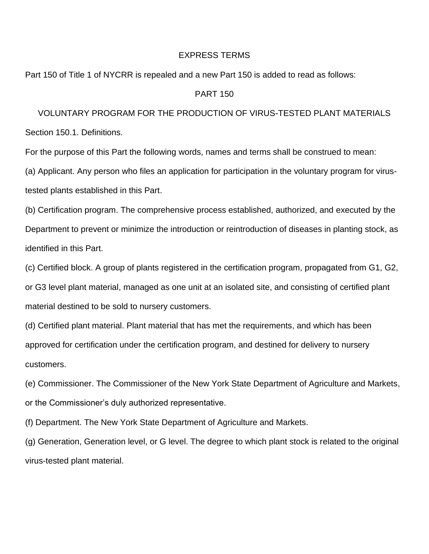## EXPRESS TERMS

Part 150 of Title 1 of NYCRR is repealed and a new Part 150 is added to read as follows:

## PART 150

VOLUNTARY PROGRAM FOR THE PRODUCTION OF VIRUS-TESTED PLANT MATERIALS Section 150.1. Definitions.

For the purpose of this Part the following words, names and terms shall be construed to mean:

(a) Applicant. Any person who files an application for participation in the voluntary program for virustested plants established in this Part.

(b) Certification program. The comprehensive process established, authorized, and executed by the Department to prevent or minimize the introduction or reintroduction of diseases in planting stock, as identified in this Part.

(c) Certified block. A group of plants registered in the certification program, propagated from G1, G2, or G3 level plant material, managed as one unit at an isolated site, and consisting of certified plant material destined to be sold to nursery customers.

(d) Certified plant material. Plant material that has met the requirements, and which has been approved for certification under the certification program, and destined for delivery to nursery customers.

(e) Commissioner. The Commissioner of the New York State Department of Agriculture and Markets, or the Commissioner's duly authorized representative.

(f) Department. The New York State Department of Agriculture and Markets.

(g) Generation, Generation level, or G level. The degree to which plant stock is related to the original virus-tested plant material.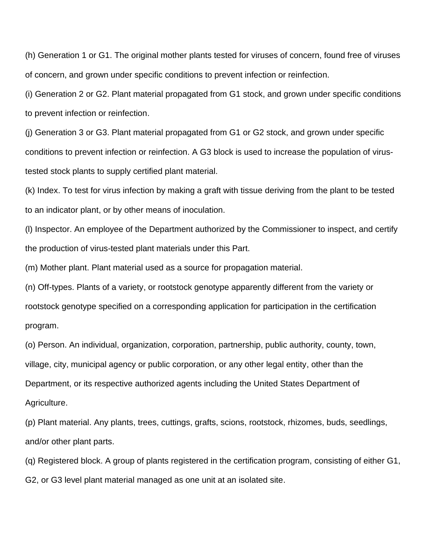(h) Generation 1 or G1. The original mother plants tested for viruses of concern, found free of viruses of concern, and grown under specific conditions to prevent infection or reinfection.

(i) Generation 2 or G2. Plant material propagated from G1 stock, and grown under specific conditions to prevent infection or reinfection.

(j) Generation 3 or G3. Plant material propagated from G1 or G2 stock, and grown under specific conditions to prevent infection or reinfection. A G3 block is used to increase the population of virustested stock plants to supply certified plant material.

(k) Index. To test for virus infection by making a graft with tissue deriving from the plant to be tested to an indicator plant, or by other means of inoculation.

(l) Inspector. An employee of the Department authorized by the Commissioner to inspect, and certify the production of virus-tested plant materials under this Part.

(m) Mother plant. Plant material used as a source for propagation material.

(n) Off-types. Plants of a variety, or rootstock genotype apparently different from the variety or rootstock genotype specified on a corresponding application for participation in the certification program.

(o) Person. An individual, organization, corporation, partnership, public authority, county, town, village, city, municipal agency or public corporation, or any other legal entity, other than the Department, or its respective authorized agents including the United States Department of Agriculture.

(p) Plant material. Any plants, trees, cuttings, grafts, scions, rootstock, rhizomes, buds, seedlings, and/or other plant parts.

(q) Registered block. A group of plants registered in the certification program, consisting of either G1, G2, or G3 level plant material managed as one unit at an isolated site.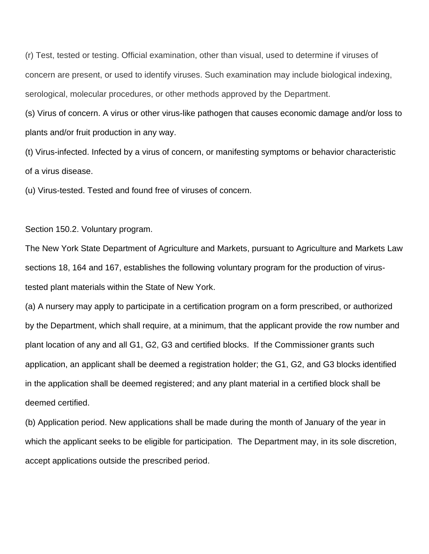(r) Test, tested or testing. Official examination, other than visual, used to determine if viruses of concern are present, or used to identify viruses. Such examination may include biological indexing, serological, molecular procedures, or other methods approved by the Department.

(s) Virus of concern. A virus or other virus-like pathogen that causes economic damage and/or loss to plants and/or fruit production in any way.

(t) Virus-infected. Infected by a virus of concern, or manifesting symptoms or behavior characteristic of a virus disease.

(u) Virus-tested. Tested and found free of viruses of concern.

Section 150.2. Voluntary program.

The New York State Department of Agriculture and Markets, pursuant to Agriculture and Markets Law sections 18, 164 and 167, establishes the following voluntary program for the production of virustested plant materials within the State of New York.

(a) A nursery may apply to participate in a certification program on a form prescribed, or authorized by the Department, which shall require, at a minimum, that the applicant provide the row number and plant location of any and all G1, G2, G3 and certified blocks. If the Commissioner grants such application, an applicant shall be deemed a registration holder; the G1, G2, and G3 blocks identified in the application shall be deemed registered; and any plant material in a certified block shall be deemed certified.

(b) Application period. New applications shall be made during the month of January of the year in which the applicant seeks to be eligible for participation. The Department may, in its sole discretion, accept applications outside the prescribed period.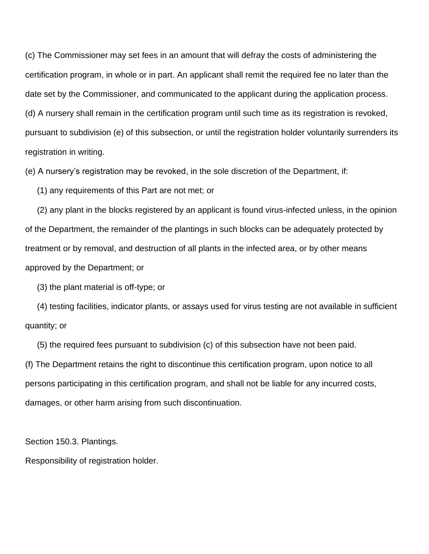(c) The Commissioner may set fees in an amount that will defray the costs of administering the certification program, in whole or in part. An applicant shall remit the required fee no later than the date set by the Commissioner, and communicated to the applicant during the application process. (d) A nursery shall remain in the certification program until such time as its registration is revoked, pursuant to subdivision (e) of this subsection, or until the registration holder voluntarily surrenders its registration in writing.

(e) A nursery's registration may be revoked, in the sole discretion of the Department, if:

(1) any requirements of this Part are not met; or

 (2) any plant in the blocks registered by an applicant is found virus-infected unless, in the opinion of the Department, the remainder of the plantings in such blocks can be adequately protected by treatment or by removal, and destruction of all plants in the infected area, or by other means approved by the Department; or

(3) the plant material is off-type; or

 (4) testing facilities, indicator plants, or assays used for virus testing are not available in sufficient quantity; or

(5) the required fees pursuant to subdivision (c) of this subsection have not been paid.

(f) The Department retains the right to discontinue this certification program, upon notice to all persons participating in this certification program, and shall not be liable for any incurred costs, damages, or other harm arising from such discontinuation.

Section 150.3. Plantings.

Responsibility of registration holder.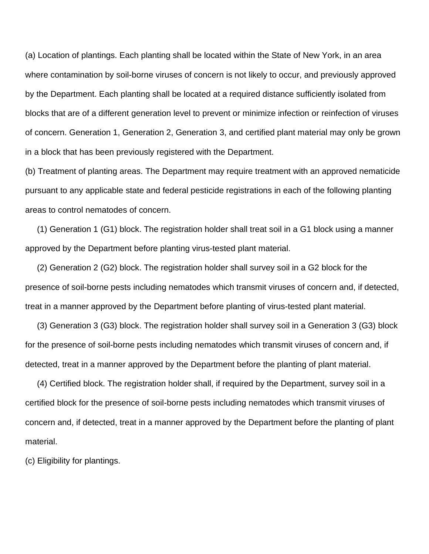(a) Location of plantings. Each planting shall be located within the State of New York, in an area where contamination by soil-borne viruses of concern is not likely to occur, and previously approved by the Department. Each planting shall be located at a required distance sufficiently isolated from blocks that are of a different generation level to prevent or minimize infection or reinfection of viruses of concern. Generation 1, Generation 2, Generation 3, and certified plant material may only be grown in a block that has been previously registered with the Department.

(b) Treatment of planting areas. The Department may require treatment with an approved nematicide pursuant to any applicable state and federal pesticide registrations in each of the following planting areas to control nematodes of concern.

 (1) Generation 1 (G1) block. The registration holder shall treat soil in a G1 block using a manner approved by the Department before planting virus-tested plant material.

 (2) Generation 2 (G2) block. The registration holder shall survey soil in a G2 block for the presence of soil-borne pests including nematodes which transmit viruses of concern and, if detected, treat in a manner approved by the Department before planting of virus-tested plant material.

 (3) Generation 3 (G3) block. The registration holder shall survey soil in a Generation 3 (G3) block for the presence of soil-borne pests including nematodes which transmit viruses of concern and, if detected, treat in a manner approved by the Department before the planting of plant material.

 (4) Certified block. The registration holder shall, if required by the Department, survey soil in a certified block for the presence of soil-borne pests including nematodes which transmit viruses of concern and, if detected, treat in a manner approved by the Department before the planting of plant material.

(c) Eligibility for plantings.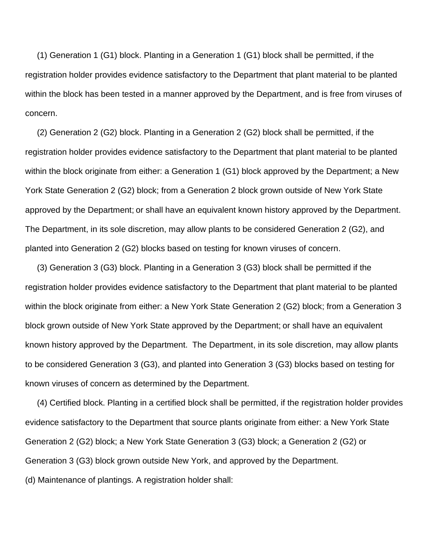(1) Generation 1 (G1) block. Planting in a Generation 1 (G1) block shall be permitted, if the registration holder provides evidence satisfactory to the Department that plant material to be planted within the block has been tested in a manner approved by the Department, and is free from viruses of concern.

 (2) Generation 2 (G2) block. Planting in a Generation 2 (G2) block shall be permitted, if the registration holder provides evidence satisfactory to the Department that plant material to be planted within the block originate from either: a Generation 1 (G1) block approved by the Department; a New York State Generation 2 (G2) block; from a Generation 2 block grown outside of New York State approved by the Department; or shall have an equivalent known history approved by the Department. The Department, in its sole discretion, may allow plants to be considered Generation 2 (G2), and planted into Generation 2 (G2) blocks based on testing for known viruses of concern.

 (3) Generation 3 (G3) block. Planting in a Generation 3 (G3) block shall be permitted if the registration holder provides evidence satisfactory to the Department that plant material to be planted within the block originate from either: a New York State Generation 2 (G2) block; from a Generation 3 block grown outside of New York State approved by the Department; or shall have an equivalent known history approved by the Department. The Department, in its sole discretion, may allow plants to be considered Generation 3 (G3), and planted into Generation 3 (G3) blocks based on testing for known viruses of concern as determined by the Department.

 (4) Certified block. Planting in a certified block shall be permitted, if the registration holder provides evidence satisfactory to the Department that source plants originate from either: a New York State Generation 2 (G2) block; a New York State Generation 3 (G3) block; a Generation 2 (G2) or Generation 3 (G3) block grown outside New York, and approved by the Department. (d) Maintenance of plantings. A registration holder shall: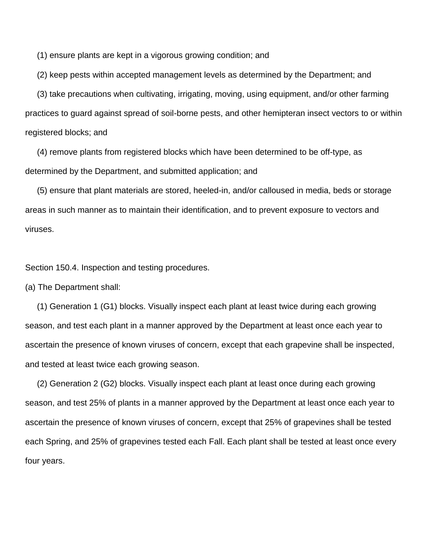(1) ensure plants are kept in a vigorous growing condition; and

(2) keep pests within accepted management levels as determined by the Department; and

 (3) take precautions when cultivating, irrigating, moving, using equipment, and/or other farming practices to guard against spread of soil-borne pests, and other hemipteran insect vectors to or within registered blocks; and

 (4) remove plants from registered blocks which have been determined to be off-type, as determined by the Department, and submitted application; and

 (5) ensure that plant materials are stored, heeled-in, and/or calloused in media, beds or storage areas in such manner as to maintain their identification, and to prevent exposure to vectors and viruses.

Section 150.4. Inspection and testing procedures.

(a) The Department shall:

 (1) Generation 1 (G1) blocks. Visually inspect each plant at least twice during each growing season, and test each plant in a manner approved by the Department at least once each year to ascertain the presence of known viruses of concern, except that each grapevine shall be inspected, and tested at least twice each growing season.

 (2) Generation 2 (G2) blocks. Visually inspect each plant at least once during each growing season, and test 25% of plants in a manner approved by the Department at least once each year to ascertain the presence of known viruses of concern, except that 25% of grapevines shall be tested each Spring, and 25% of grapevines tested each Fall. Each plant shall be tested at least once every four years.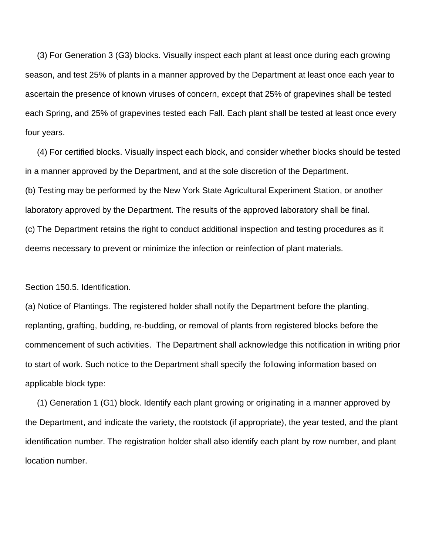(3) For Generation 3 (G3) blocks. Visually inspect each plant at least once during each growing season, and test 25% of plants in a manner approved by the Department at least once each year to ascertain the presence of known viruses of concern, except that 25% of grapevines shall be tested each Spring, and 25% of grapevines tested each Fall. Each plant shall be tested at least once every four years.

 (4) For certified blocks. Visually inspect each block, and consider whether blocks should be tested in a manner approved by the Department, and at the sole discretion of the Department. (b) Testing may be performed by the New York State Agricultural Experiment Station, or another laboratory approved by the Department. The results of the approved laboratory shall be final. (c) The Department retains the right to conduct additional inspection and testing procedures as it deems necessary to prevent or minimize the infection or reinfection of plant materials.

Section 150.5. Identification.

(a) Notice of Plantings. The registered holder shall notify the Department before the planting, replanting, grafting, budding, re-budding, or removal of plants from registered blocks before the commencement of such activities. The Department shall acknowledge this notification in writing prior to start of work. Such notice to the Department shall specify the following information based on applicable block type:

 (1) Generation 1 (G1) block. Identify each plant growing or originating in a manner approved by the Department, and indicate the variety, the rootstock (if appropriate), the year tested, and the plant identification number. The registration holder shall also identify each plant by row number, and plant location number.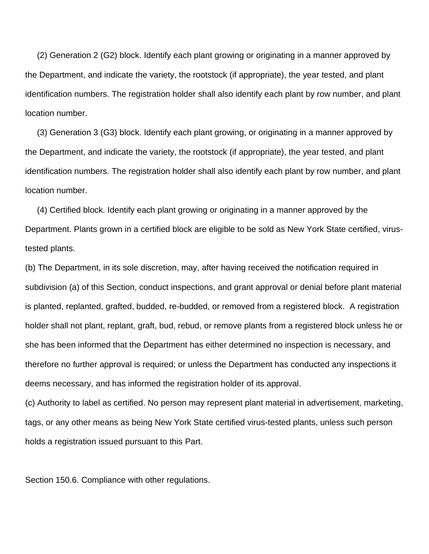(2) Generation 2 (G2) block. Identify each plant growing or originating in a manner approved by the Department, and indicate the variety, the rootstock (if appropriate), the year tested, and plant identification numbers. The registration holder shall also identify each plant by row number, and plant location number.

 (3) Generation 3 (G3) block. Identify each plant growing, or originating in a manner approved by the Department, and indicate the variety, the rootstock (if appropriate), the year tested, and plant identification numbers. The registration holder shall also identify each plant by row number, and plant location number.

 (4) Certified block. Identify each plant growing or originating in a manner approved by the Department. Plants grown in a certified block are eligible to be sold as New York State certified, virustested plants.

(b) The Department, in its sole discretion, may, after having received the notification required in subdivision (a) of this Section, conduct inspections, and grant approval or denial before plant material is planted, replanted, grafted, budded, re-budded, or removed from a registered block. A registration holder shall not plant, replant, graft, bud, rebud, or remove plants from a registered block unless he or she has been informed that the Department has either determined no inspection is necessary, and therefore no further approval is required; or unless the Department has conducted any inspections it deems necessary, and has informed the registration holder of its approval.

(c) Authority to label as certified. No person may represent plant material in advertisement, marketing, tags, or any other means as being New York State certified virus-tested plants, unless such person holds a registration issued pursuant to this Part.

Section 150.6. Compliance with other regulations.